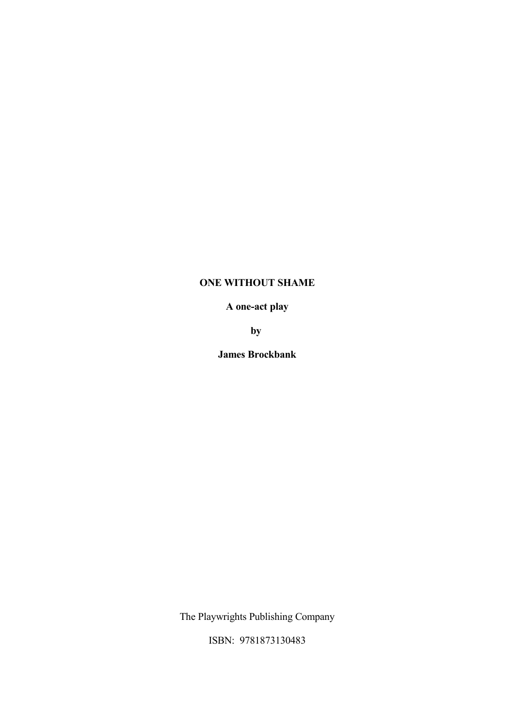# **ONE WITHOUT SHAME**

# **A one-act play**

**by** 

**James Brockbank**

The Playwrights Publishing Company

ISBN: 9781873130483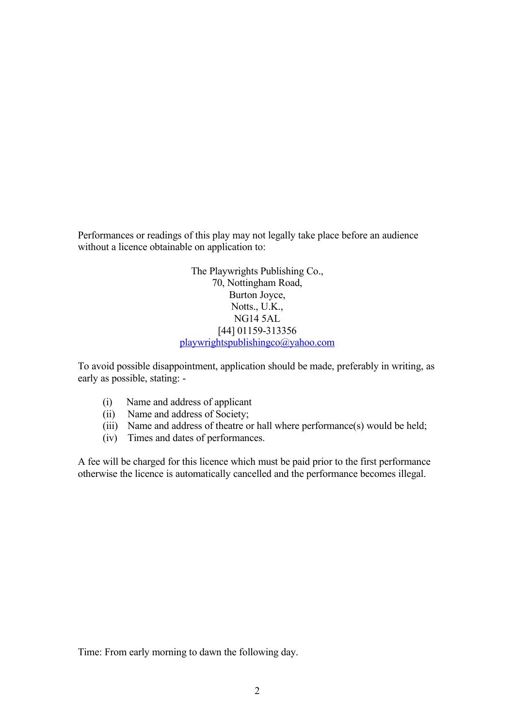Performances or readings of this play may not legally take place before an audience without a licence obtainable on application to:

> The Playwrights Publishing Co., 70, Nottingham Road, Burton Joyce, Notts., U.K., NG14 5AL [44] 01159-313356 [playwrightspublishingco@yahoo.com](mailto:playwrightspublishingco@yahoo.com)

To avoid possible disappointment, application should be made, preferably in writing, as early as possible, stating: -

- (i) Name and address of applicant
- (ii) Name and address of Society;
- (iii) Name and address of theatre or hall where performance(s) would be held;
- (iv) Times and dates of performances.

A fee will be charged for this licence which must be paid prior to the first performance otherwise the licence is automatically cancelled and the performance becomes illegal.

Time: From early morning to dawn the following day.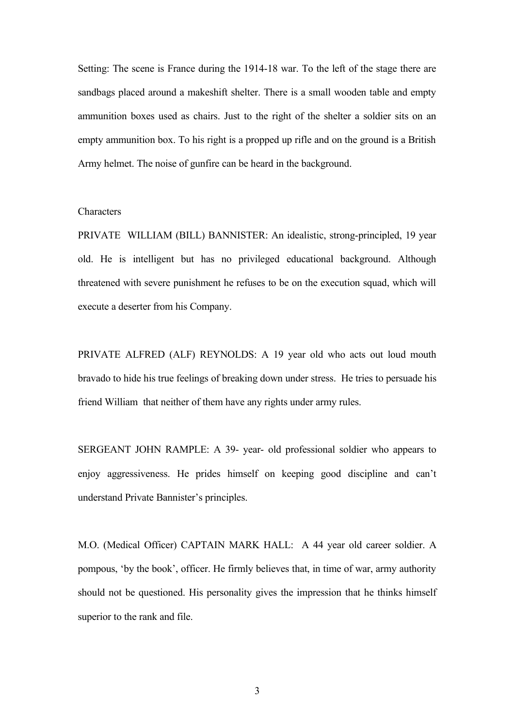Setting: The scene is France during the 1914-18 war. To the left of the stage there are sandbags placed around a makeshift shelter. There is a small wooden table and empty ammunition boxes used as chairs. Just to the right of the shelter a soldier sits on an empty ammunition box. To his right is a propped up rifle and on the ground is a British Army helmet. The noise of gunfire can be heard in the background.

#### **Characters**

PRIVATE WILLIAM (BILL) BANNISTER: An idealistic, strong-principled, 19 year old. He is intelligent but has no privileged educational background. Although threatened with severe punishment he refuses to be on the execution squad, which will execute a deserter from his Company.

PRIVATE ALFRED (ALF) REYNOLDS: A 19 year old who acts out loud mouth bravado to hide his true feelings of breaking down under stress. He tries to persuade his friend William that neither of them have any rights under army rules.

SERGEANT JOHN RAMPLE: A 39- year- old professional soldier who appears to enjoy aggressiveness. He prides himself on keeping good discipline and can't understand Private Bannister's principles.

M.O. (Medical Officer) CAPTAIN MARK HALL: A 44 year old career soldier. A pompous, 'by the book', officer. He firmly believes that, in time of war, army authority should not be questioned. His personality gives the impression that he thinks himself superior to the rank and file.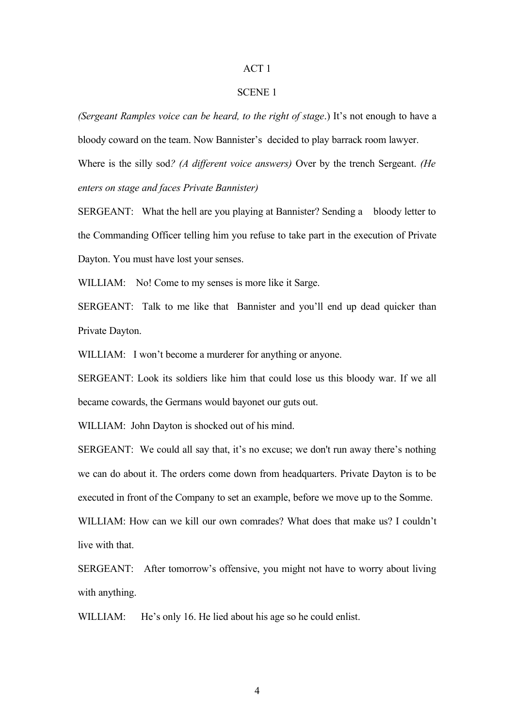### ACT 1

### SCENE 1

*(Sergeant Ramples voice can be heard, to the right of stage*.) It's not enough to have a bloody coward on the team. Now Bannister's decided to play barrack room lawyer. Where is the silly sod*? (A different voice answers)* Over by the trench Sergeant. *(He*

*enters on stage and faces Private Bannister)*

SERGEANT: What the hell are you playing at Bannister? Sending a bloody letter to the Commanding Officer telling him you refuse to take part in the execution of Private Dayton. You must have lost your senses.

WILLIAM: No! Come to my senses is more like it Sarge.

SERGEANT: Talk to me like that Bannister and you'll end up dead quicker than Private Dayton.

WILLIAM: I won't become a murderer for anything or anyone.

SERGEANT: Look its soldiers like him that could lose us this bloody war. If we all became cowards, the Germans would bayonet our guts out.

WILLIAM: John Dayton is shocked out of his mind.

SERGEANT: We could all say that, it's no excuse; we don't run away there's nothing we can do about it. The orders come down from headquarters. Private Dayton is to be executed in front of the Company to set an example, before we move up to the Somme. WILLIAM: How can we kill our own comrades? What does that make us? I couldn't live with that.

SERGEANT: After tomorrow's offensive, you might not have to worry about living with anything.

WILLIAM: He's only 16. He lied about his age so he could enlist.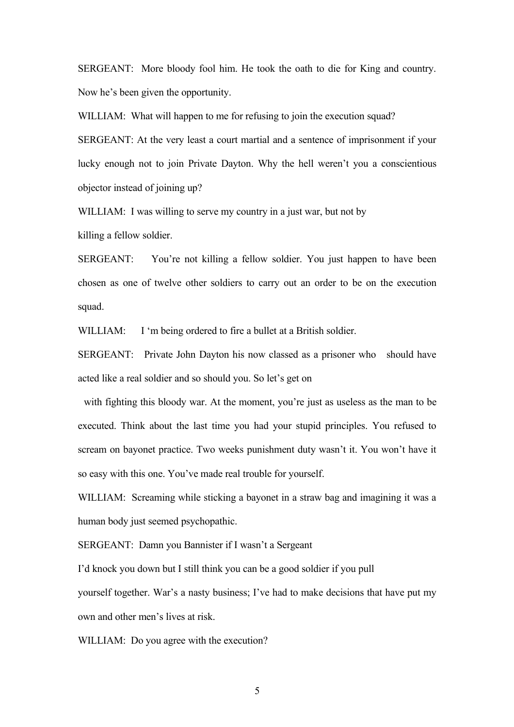SERGEANT: More bloody fool him. He took the oath to die for King and country. Now he's been given the opportunity.

WILLIAM: What will happen to me for refusing to join the execution squad?

SERGEANT: At the very least a court martial and a sentence of imprisonment if your lucky enough not to join Private Dayton. Why the hell weren't you a conscientious objector instead of joining up?

WILLIAM: I was willing to serve my country in a just war, but not by

killing a fellow soldier.

SERGEANT: You're not killing a fellow soldier. You just happen to have been chosen as one of twelve other soldiers to carry out an order to be on the execution squad.

WILLIAM: I 'm being ordered to fire a bullet at a British soldier.

SERGEANT: Private John Dayton his now classed as a prisoner who should have acted like a real soldier and so should you. So let's get on

 with fighting this bloody war. At the moment, you're just as useless as the man to be executed. Think about the last time you had your stupid principles. You refused to scream on bayonet practice. Two weeks punishment duty wasn't it. You won't have it so easy with this one. You've made real trouble for yourself.

WILLIAM: Screaming while sticking a bayonet in a straw bag and imagining it was a human body just seemed psychopathic.

SERGEANT: Damn you Bannister if I wasn't a Sergeant

I'd knock you down but I still think you can be a good soldier if you pull

yourself together. War's a nasty business; I've had to make decisions that have put my own and other men's lives at risk.

WILLIAM: Do you agree with the execution?

5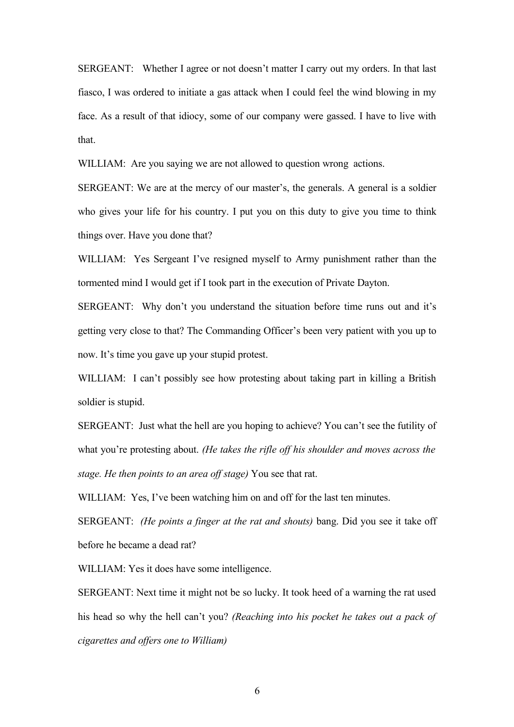SERGEANT: Whether I agree or not doesn't matter I carry out my orders. In that last fiasco, I was ordered to initiate a gas attack when I could feel the wind blowing in my face. As a result of that idiocy, some of our company were gassed. I have to live with that.

WILLIAM: Are you saying we are not allowed to question wrong actions.

SERGEANT: We are at the mercy of our master's, the generals. A general is a soldier who gives your life for his country. I put you on this duty to give you time to think things over. Have you done that?

WILLIAM: Yes Sergeant I've resigned myself to Army punishment rather than the tormented mind I would get if I took part in the execution of Private Dayton.

SERGEANT: Why don't you understand the situation before time runs out and it's getting very close to that? The Commanding Officer's been very patient with you up to now. It's time you gave up your stupid protest.

WILLIAM: I can't possibly see how protesting about taking part in killing a British soldier is stupid.

SERGEANT: Just what the hell are you hoping to achieve? You can't see the futility of what you're protesting about. *(He takes the rifle off his shoulder and moves across the stage. He then points to an area off stage)* You see that rat.

WILLIAM: Yes, I've been watching him on and off for the last ten minutes.

SERGEANT: *(He points a finger at the rat and shouts)* bang. Did you see it take off before he became a dead rat?

WILLIAM: Yes it does have some intelligence.

SERGEANT: Next time it might not be so lucky. It took heed of a warning the rat used his head so why the hell can't you? *(Reaching into his pocket he takes out a pack of cigarettes and offers one to William)*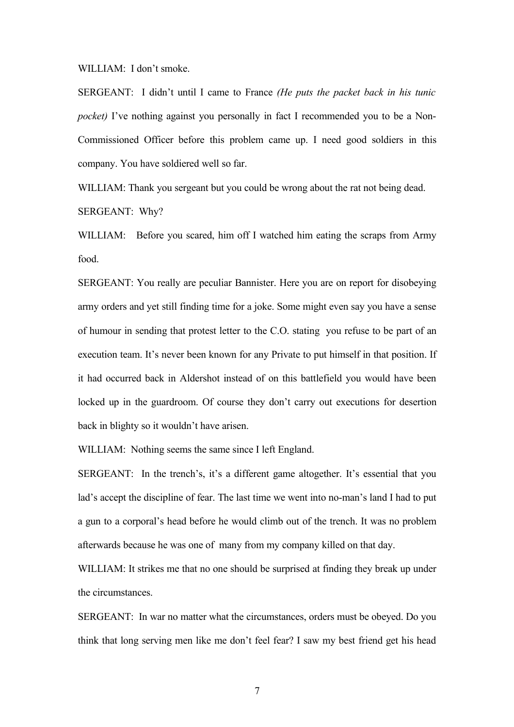WILLIAM: I don't smoke.

SERGEANT: I didn't until I came to France *(He puts the packet back in his tunic pocket*) I've nothing against you personally in fact I recommended you to be a Non-Commissioned Officer before this problem came up. I need good soldiers in this company. You have soldiered well so far.

WILLIAM: Thank you sergeant but you could be wrong about the rat not being dead. SERGEANT: Why?

WILLIAM: Before you scared, him off I watched him eating the scraps from Army food.

SERGEANT: You really are peculiar Bannister. Here you are on report for disobeying army orders and yet still finding time for a joke. Some might even say you have a sense of humour in sending that protest letter to the C.O. stating you refuse to be part of an execution team. It's never been known for any Private to put himself in that position. If it had occurred back in Aldershot instead of on this battlefield you would have been locked up in the guardroom. Of course they don't carry out executions for desertion back in blighty so it wouldn't have arisen.

WILLIAM: Nothing seems the same since I left England.

SERGEANT: In the trench's, it's a different game altogether. It's essential that you lad's accept the discipline of fear. The last time we went into no-man's land I had to put a gun to a corporal's head before he would climb out of the trench. It was no problem afterwards because he was one of many from my company killed on that day.

WILLIAM: It strikes me that no one should be surprised at finding they break up under the circumstances.

SERGEANT: In war no matter what the circumstances, orders must be obeyed. Do you think that long serving men like me don't feel fear? I saw my best friend get his head

7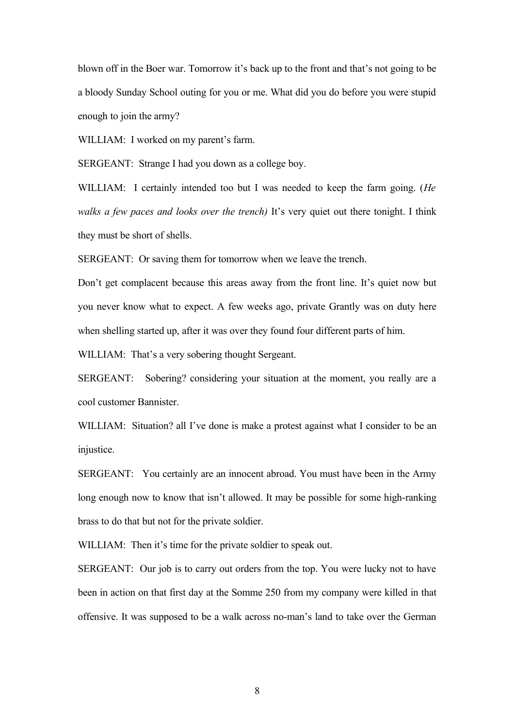blown off in the Boer war. Tomorrow it's back up to the front and that's not going to be a bloody Sunday School outing for you or me. What did you do before you were stupid enough to join the army?

WILLIAM: I worked on my parent's farm.

SERGEANT: Strange I had you down as a college boy.

WILLIAM: I certainly intended too but I was needed to keep the farm going. (*He walks a few paces and looks over the trench)* It's very quiet out there tonight. I think they must be short of shells.

SERGEANT: Or saving them for tomorrow when we leave the trench.

Don't get complacent because this areas away from the front line. It's quiet now but you never know what to expect. A few weeks ago, private Grantly was on duty here when shelling started up, after it was over they found four different parts of him.

WILLIAM: That's a very sobering thought Sergeant.

SERGEANT: Sobering? considering your situation at the moment, you really are a cool customer Bannister.

WILLIAM: Situation? all I've done is make a protest against what I consider to be an injustice.

SERGEANT: You certainly are an innocent abroad. You must have been in the Army long enough now to know that isn't allowed. It may be possible for some high-ranking brass to do that but not for the private soldier.

WILLIAM: Then it's time for the private soldier to speak out.

SERGEANT: Our job is to carry out orders from the top. You were lucky not to have been in action on that first day at the Somme 250 from my company were killed in that offensive. It was supposed to be a walk across no-man's land to take over the German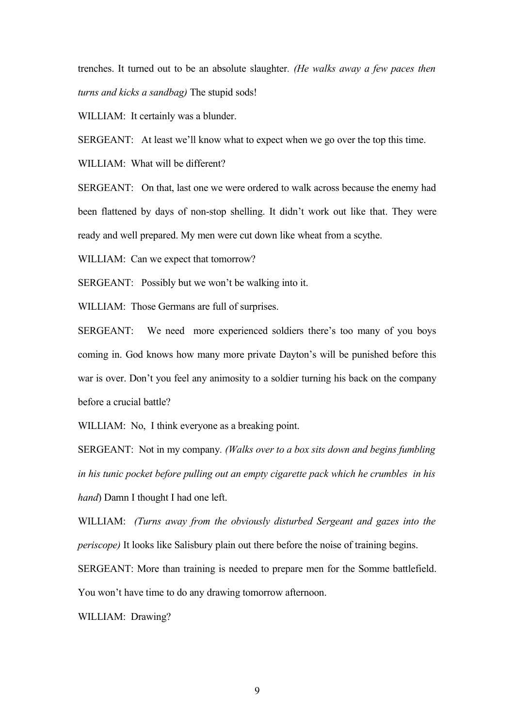trenches. It turned out to be an absolute slaughter*. (He walks away a few paces then turns and kicks a sandbag)* The stupid sods!

WILLIAM: It certainly was a blunder.

SERGEANT: At least we'll know what to expect when we go over the top this time.

WILLIAM: What will be different?

SERGEANT: On that, last one we were ordered to walk across because the enemy had been flattened by days of non-stop shelling. It didn't work out like that. They were ready and well prepared. My men were cut down like wheat from a scythe.

WILLIAM: Can we expect that tomorrow?

SERGEANT: Possibly but we won't be walking into it.

WILLIAM: Those Germans are full of surprises.

SERGEANT: We need more experienced soldiers there's too many of you boys coming in. God knows how many more private Dayton's will be punished before this war is over. Don't you feel any animosity to a soldier turning his back on the company before a crucial battle?

WILLIAM: No, I think everyone as a breaking point.

SERGEANT: Not in my company*. (Walks over to a box sits down and begins fumbling in his tunic pocket before pulling out an empty cigarette pack which he crumbles in his hand*) Damn I thought I had one left.

WILLIAM: *(Turns away from the obviously disturbed Sergeant and gazes into the periscope)* It looks like Salisbury plain out there before the noise of training begins.

SERGEANT: More than training is needed to prepare men for the Somme battlefield. You won't have time to do any drawing tomorrow afternoon.

WILLIAM: Drawing?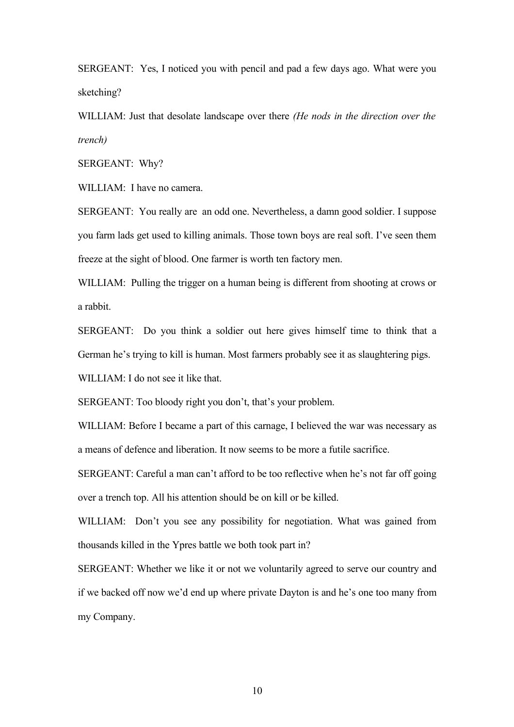SERGEANT: Yes, I noticed you with pencil and pad a few days ago. What were you sketching?

WILLIAM: Just that desolate landscape over there *(He nods in the direction over the trench)*

SERGEANT: Why?

WILLIAM: I have no camera.

SERGEANT: You really are an odd one. Nevertheless, a damn good soldier. I suppose you farm lads get used to killing animals. Those town boys are real soft. I've seen them freeze at the sight of blood. One farmer is worth ten factory men.

WILLIAM: Pulling the trigger on a human being is different from shooting at crows or a rabbit.

SERGEANT: Do you think a soldier out here gives himself time to think that a German he's trying to kill is human. Most farmers probably see it as slaughtering pigs.

WILLIAM: I do not see it like that.

SERGEANT: Too bloody right you don't, that's your problem.

WILLIAM: Before I became a part of this carnage, I believed the war was necessary as a means of defence and liberation. It now seems to be more a futile sacrifice.

SERGEANT: Careful a man can't afford to be too reflective when he's not far off going over a trench top. All his attention should be on kill or be killed.

WILLIAM: Don't you see any possibility for negotiation. What was gained from thousands killed in the Ypres battle we both took part in?

SERGEANT: Whether we like it or not we voluntarily agreed to serve our country and if we backed off now we'd end up where private Dayton is and he's one too many from my Company.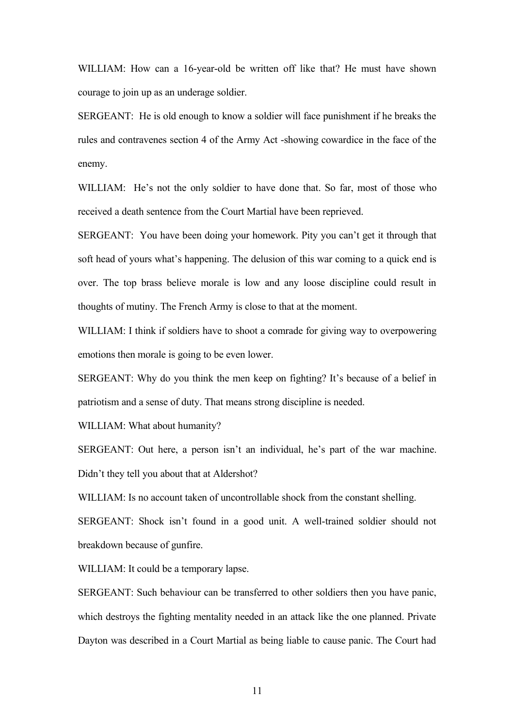WILLIAM: How can a 16-year-old be written off like that? He must have shown courage to join up as an underage soldier.

SERGEANT: He is old enough to know a soldier will face punishment if he breaks the rules and contravenes section 4 of the Army Act -showing cowardice in the face of the enemy.

WILLIAM: He's not the only soldier to have done that. So far, most of those who received a death sentence from the Court Martial have been reprieved.

SERGEANT: You have been doing your homework. Pity you can't get it through that soft head of yours what's happening. The delusion of this war coming to a quick end is over. The top brass believe morale is low and any loose discipline could result in thoughts of mutiny. The French Army is close to that at the moment.

WILLIAM: I think if soldiers have to shoot a comrade for giving way to overpowering emotions then morale is going to be even lower.

SERGEANT: Why do you think the men keep on fighting? It's because of a belief in patriotism and a sense of duty. That means strong discipline is needed.

WILLIAM: What about humanity?

SERGEANT: Out here, a person isn't an individual, he's part of the war machine. Didn't they tell you about that at Aldershot?

WILLIAM: Is no account taken of uncontrollable shock from the constant shelling. SERGEANT: Shock isn't found in a good unit. A well-trained soldier should not breakdown because of gunfire.

WILLIAM: It could be a temporary lapse.

SERGEANT: Such behaviour can be transferred to other soldiers then you have panic, which destroys the fighting mentality needed in an attack like the one planned. Private Dayton was described in a Court Martial as being liable to cause panic. The Court had